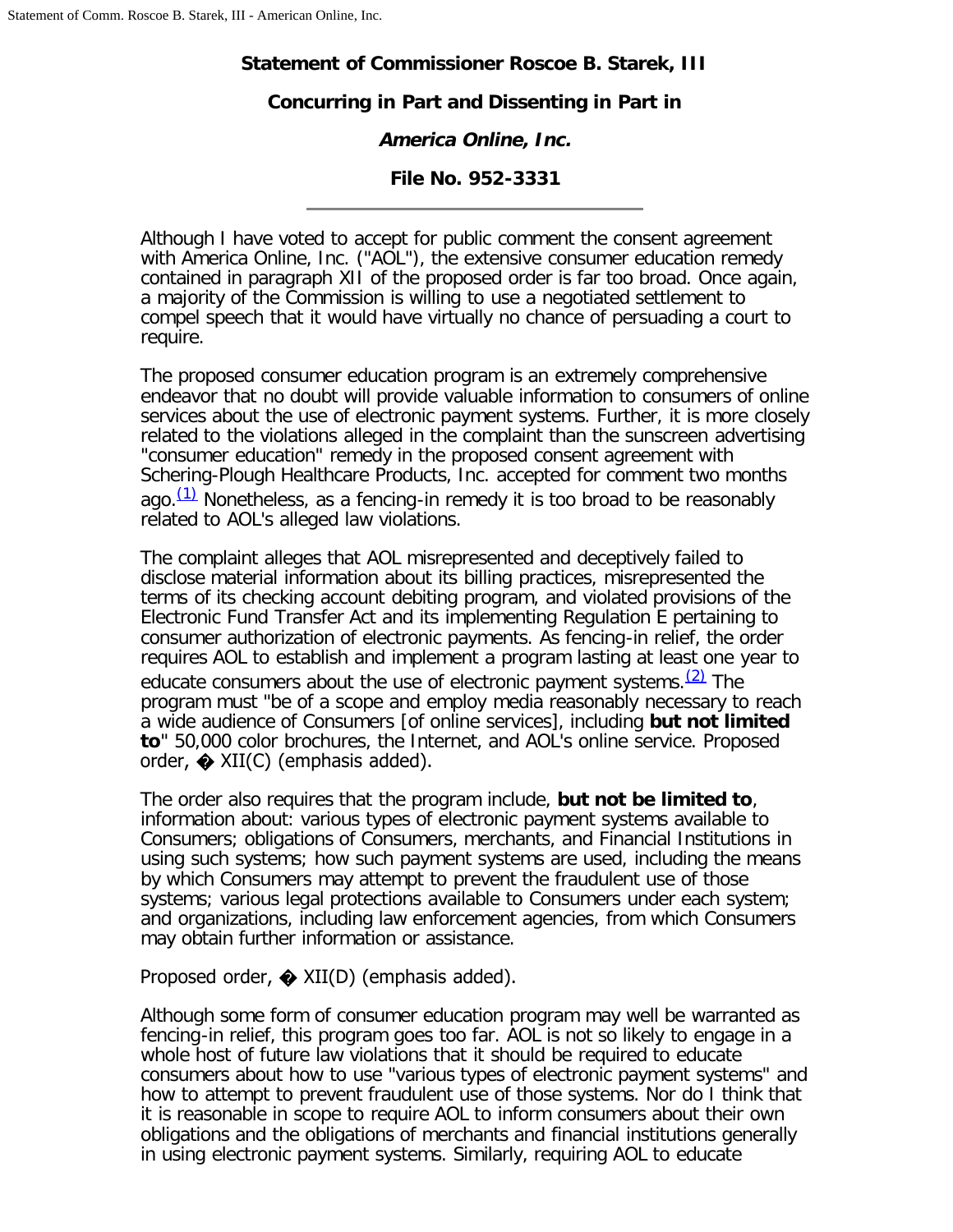## **Statement of Commissioner Roscoe B. Starek, III**

## **Concurring in Part and Dissenting in Part in**

# **America Online, Inc.**

## **File No. 952-3331**

Although I have voted to accept for public comment the consent agreement with America Online, Inc. ("AOL"), the extensive consumer education remedy contained in paragraph XII of the proposed order is far too broad. Once again, a majority of the Commission is willing to use a negotiated settlement to compel speech that it would have virtually no chance of persuading a court to require.

The proposed consumer education program is an extremely comprehensive endeavor that no doubt will provide valuable information to consumers of online services about the use of electronic payment systems. Further, it is more closely related to the violations alleged in the complaint than the sunscreen advertising "consumer education" remedy in the proposed consent agreement with Schering-Plough Healthcare Products, Inc. accepted for comment two months ago. $(1)$  Nonetheless, as a fencing-in remedy it is too broad to be reasonably related to AOL's alleged law violations.

The complaint alleges that AOL misrepresented and deceptively failed to disclose material information about its billing practices, misrepresented the terms of its checking account debiting program, and violated provisions of the Electronic Fund Transfer Act and its implementing Regulation E pertaining to consumer authorization of electronic payments. As fencing-in relief, the order requires AOL to establish and implement a program lasting at least one year to educate consumers about the use of electronic payment systems.  $(2)$  The program must "be of a scope and employ media reasonably necessary to reach a wide audience of Consumers [of online services], including **but not limited to**" 50,000 color brochures, the Internet, and AOL's online service. Proposed order,  $\triangle$  XII(C) (emphasis added).

The order also requires that the program include, **but not be limited to**, information about: various types of electronic payment systems available to Consumers; obligations of Consumers, merchants, and Financial Institutions in using such systems; how such payment systems are used, including the means by which Consumers may attempt to prevent the fraudulent use of those systems; various legal protections available to Consumers under each system; and organizations, including law enforcement agencies, from which Consumers may obtain further information or assistance.

## Proposed order,  $\bigcirc$  XII(D) (emphasis added).

Although some form of consumer education program may well be warranted as fencing-in relief, this program goes too far. AOL is not so likely to engage in a whole host of future law violations that it should be required to educate consumers about how to use "various types of electronic payment systems" and how to attempt to prevent fraudulent use of those systems. Nor do I think that it is reasonable in scope to require AOL to inform consumers about their own obligations and the obligations of merchants and financial institutions generally in using electronic payment systems. Similarly, requiring AOL to educate